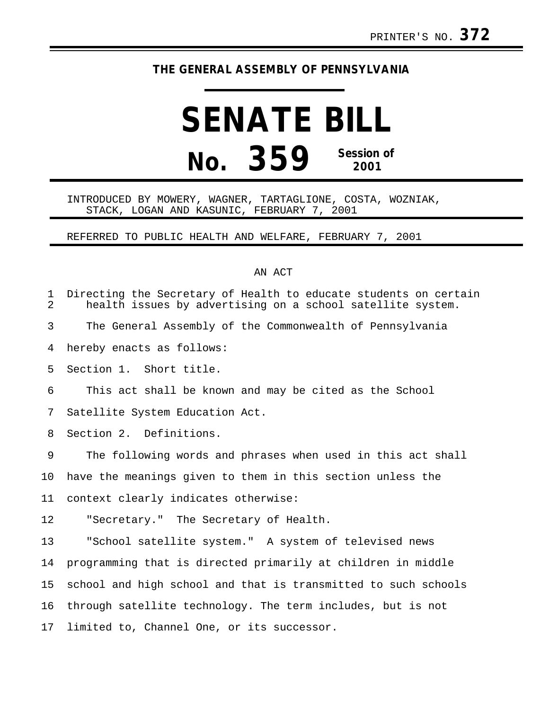## **THE GENERAL ASSEMBLY OF PENNSYLVANIA**

## **SENATE BILL No. 359 Session of 2001**

## INTRODUCED BY MOWERY, WAGNER, TARTAGLIONE, COSTA, WOZNIAK, STACK, LOGAN AND KASUNIC, FEBRUARY 7, 2001

REFERRED TO PUBLIC HEALTH AND WELFARE, FEBRUARY 7, 2001

## AN ACT

| 1<br>2 | Directing the Secretary of Health to educate students on certain<br>health issues by advertising on a school satellite system. |
|--------|--------------------------------------------------------------------------------------------------------------------------------|
| 3      | The General Assembly of the Commonwealth of Pennsylvania                                                                       |
| 4      | hereby enacts as follows:                                                                                                      |
| 5      | Section 1. Short title.                                                                                                        |
| 6      | This act shall be known and may be cited as the School                                                                         |
| 7      | Satellite System Education Act.                                                                                                |
| 8      | Section 2. Definitions.                                                                                                        |
| 9      | The following words and phrases when used in this act shall                                                                    |
| 10     | have the meanings given to them in this section unless the                                                                     |
| 11     | context clearly indicates otherwise:                                                                                           |
| 12     | "Secretary." The Secretary of Health.                                                                                          |
| 13     | "School satellite system." A system of televised news                                                                          |
| 14     | programming that is directed primarily at children in middle                                                                   |
| 15     | school and high school and that is transmitted to such schools                                                                 |
| 16     | through satellite technology. The term includes, but is not                                                                    |
| 17     | limited to, Channel One, or its successor.                                                                                     |